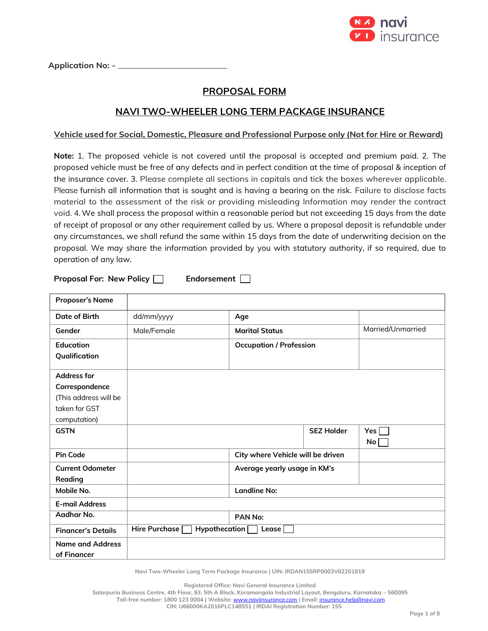

Application No: - \_

# **PROPOSAL FORM**

## **NAVI TWO-WHEELER LONG TERM PACKAGE INSURANCE**

### **Vehicle used for Social, Domestic, Pleasure and Professional Purpose only (Not for Hire or Reward)**

**Note:** 1. The proposed vehicle is not covered until the proposal is accepted and premium paid. 2. The proposed vehicle must be free of any defects and in perfect condition at the time of proposal & inception of the insurance cover. 3. Please complete all sections in capitals and tick the boxes wherever applicable. Please furnish all information that is sought and is having a bearing on the risk. Failure to disclose facts material to the assessment of the risk or providing misleading Information may render the contract void. 4. We shall process the proposal within a reasonable period but not exceeding 15 days from the date of receipt of proposal or any other requirement called by us. Where a proposal deposit is refundable under any circumstances, we shall refund the same within 15 days from the date of underwriting decision on the proposal. We may share the information provided by you with statutory authority, if so required, due to operation of any law.

**Proposal For: New Policy | Endorsement** 

| <b>Proposer's Name</b>    |                                    |                                   |                   |     |
|---------------------------|------------------------------------|-----------------------------------|-------------------|-----|
| Date of Birth             | dd/mm/yyyy                         | Age                               |                   |     |
| Gender                    | Male/Female                        | <b>Marital Status</b>             | Married/Unmarried |     |
| Education                 |                                    | <b>Occupation / Profession</b>    |                   |     |
| Qualification             |                                    |                                   |                   |     |
| <b>Address for</b>        |                                    |                                   |                   |     |
| Correspondence            |                                    |                                   |                   |     |
| (This address will be     |                                    |                                   |                   |     |
| taken for GST             |                                    |                                   |                   |     |
| computation)              |                                    |                                   |                   |     |
| <b>GSTN</b>               |                                    |                                   | <b>SEZ Holder</b> | Yes |
|                           |                                    |                                   |                   | No  |
| <b>Pin Code</b>           |                                    | City where Vehicle will be driven |                   |     |
| <b>Current Odometer</b>   |                                    | Average yearly usage in KM's      |                   |     |
| Reading                   |                                    |                                   |                   |     |
| Mobile No.                |                                    | <b>Landline No:</b>               |                   |     |
| <b>E-mail Address</b>     |                                    |                                   |                   |     |
| Aadhar No.                |                                    | PAN No:                           |                   |     |
| <b>Financer's Details</b> | Hire Purchase [<br>Hypothecation [ | Lease                             |                   |     |
| <b>Name and Address</b>   |                                    |                                   |                   |     |
| of Financer               |                                    |                                   |                   |     |

**Navi Two-Wheeler Long Term Package Insurance | UIN: IRDAN155RP0003V02201819**

**Registered Office: Navi General Insurance Limited**

**Salarpuria Business Centre, 4th Floor, 93, 5th A Block, Koramangala Industrial Layout, Bengaluru, Karnataka – 560095**

**Toll-free number: 1800 123 0004 | Website:** [www.naviinsurance.com](http://www.naviinsurance.com/) **| Email:** [insurance.help@navi.com](mailto:insurance.help@navi.com)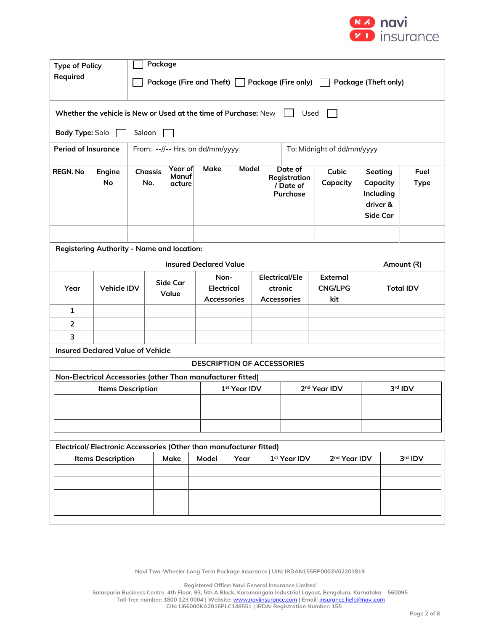

| <b>Type of Policy</b><br>Required                                  |                                                                 |                                                                                  | Package<br>Package (Fire and Theft) $\Box$ Package (Fire only)<br><b>Package (Theft only)</b> |                                          |                               |                                                        |  |                                   |                                                         |                          |                   |                                                          |  |                     |
|--------------------------------------------------------------------|-----------------------------------------------------------------|----------------------------------------------------------------------------------|-----------------------------------------------------------------------------------------------|------------------------------------------|-------------------------------|--------------------------------------------------------|--|-----------------------------------|---------------------------------------------------------|--------------------------|-------------------|----------------------------------------------------------|--|---------------------|
|                                                                    | Whether the vehicle is New or Used at the time of Purchase: New |                                                                                  |                                                                                               |                                          |                               |                                                        |  |                                   |                                                         | Used                     |                   |                                                          |  |                     |
|                                                                    | Body Type: Solo<br>Saloon                                       |                                                                                  |                                                                                               |                                          |                               |                                                        |  |                                   |                                                         |                          |                   |                                                          |  |                     |
| <b>Period of Insurance</b>                                         |                                                                 |                                                                                  | From: --//-- Hrs. on dd/mm/yyyy<br>To: Midnight of dd/mm/yyyy                                 |                                          |                               |                                                        |  |                                   |                                                         |                          |                   |                                                          |  |                     |
| <b>REGN. No</b>                                                    | Engine<br>No                                                    |                                                                                  | <b>Chassis</b><br>No.                                                                         | Year of<br>Manuf<br>acture               | <b>Make</b>                   | Model                                                  |  |                                   | Date of<br>Registration<br>/ Date of<br><b>Purchase</b> |                          | Cubic<br>Capacity | Seating<br>Capacity<br>Including<br>driver &<br>Side Car |  | Fuel<br><b>Type</b> |
|                                                                    |                                                                 |                                                                                  |                                                                                               |                                          |                               |                                                        |  |                                   |                                                         |                          |                   |                                                          |  |                     |
|                                                                    | <b>Registering Authority - Name and location:</b>               |                                                                                  |                                                                                               |                                          |                               |                                                        |  |                                   |                                                         |                          |                   |                                                          |  |                     |
|                                                                    |                                                                 |                                                                                  |                                                                                               |                                          | <b>Insured Declared Value</b> |                                                        |  |                                   |                                                         |                          |                   |                                                          |  | Amount (쿡)          |
| Year                                                               | <b>Vehicle IDV</b>                                              | Side Car<br>Value                                                                |                                                                                               | Non-<br><b>Electrical</b><br>Accessories |                               | <b>Electrical/Ele</b><br>ctronic<br><b>Accessories</b> |  | External<br><b>CNG/LPG</b><br>kit | <b>Total IDV</b>                                        |                          |                   |                                                          |  |                     |
| 1                                                                  |                                                                 |                                                                                  |                                                                                               |                                          |                               |                                                        |  |                                   |                                                         |                          |                   |                                                          |  |                     |
| $\overline{2}$                                                     |                                                                 |                                                                                  |                                                                                               |                                          |                               |                                                        |  |                                   |                                                         |                          |                   |                                                          |  |                     |
| 3                                                                  |                                                                 |                                                                                  |                                                                                               |                                          |                               |                                                        |  |                                   |                                                         |                          |                   |                                                          |  |                     |
|                                                                    | <b>Insured Declared Value of Vehicle</b>                        |                                                                                  |                                                                                               |                                          |                               |                                                        |  |                                   |                                                         |                          |                   |                                                          |  |                     |
| <b>DESCRIPTION OF ACCESSORIES</b>                                  |                                                                 |                                                                                  |                                                                                               |                                          |                               |                                                        |  |                                   |                                                         |                          |                   |                                                          |  |                     |
|                                                                    | Non-Electrical Accessories (other Than manufacturer fitted)     |                                                                                  |                                                                                               |                                          |                               |                                                        |  |                                   |                                                         |                          |                   |                                                          |  |                     |
|                                                                    |                                                                 | 2 <sup>nd</sup> Year IDV<br><b>Items Description</b><br>1 <sup>st</sup> Year IDV |                                                                                               |                                          |                               |                                                        |  |                                   | 3rd IDV                                                 |                          |                   |                                                          |  |                     |
|                                                                    |                                                                 |                                                                                  |                                                                                               |                                          |                               |                                                        |  |                                   |                                                         |                          |                   |                                                          |  |                     |
| Electrical/Electronic Accessories (Other than manufacturer fitted) |                                                                 |                                                                                  |                                                                                               |                                          |                               |                                                        |  |                                   |                                                         |                          |                   |                                                          |  |                     |
|                                                                    | <b>Items Description</b>                                        |                                                                                  |                                                                                               | Make                                     | Model                         | Year                                                   |  | 1st Year IDV                      |                                                         | 2 <sup>nd</sup> Year IDV |                   |                                                          |  | 3rd IDV             |
|                                                                    |                                                                 |                                                                                  |                                                                                               |                                          |                               |                                                        |  |                                   |                                                         |                          |                   |                                                          |  |                     |
|                                                                    |                                                                 |                                                                                  |                                                                                               |                                          |                               |                                                        |  |                                   |                                                         |                          |                   |                                                          |  |                     |
|                                                                    |                                                                 |                                                                                  |                                                                                               |                                          |                               |                                                        |  |                                   |                                                         |                          |                   |                                                          |  |                     |

**Navi Two-Wheeler Long Term Package Insurance | UIN: IRDAN155RP0003V02201819**

**Registered Office: Navi General Insurance Limited**

**Salarpuria Business Centre, 4th Floor, 93, 5th A Block, Koramangala Industrial Layout, Bengaluru, Karnataka – 560095 Toll-free number: 1800 123 0004 | Website:** [www.naviinsurance.com](http://www.naviinsurance.com/) **| Email:** [insurance.help@navi.com](mailto:insurance.help@navi.com) **CIN: U66000KA2016PLC148551 | IRDAI Registration Number: 155**

**Page 2 of 8**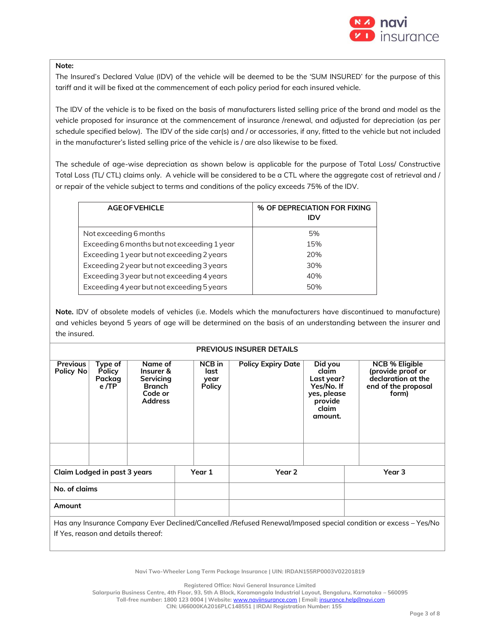

#### **Note:**

The Insured's Declared Value (IDV) of the vehicle will be deemed to be the 'SUM INSURED' for the purpose of this tariff and it will be fixed at the commencement of each policy period for each insured vehicle.

The IDV of the vehicle is to be fixed on the basis of manufacturers listed selling price of the brand and model as the vehicle proposed for insurance at the commencement of insurance /renewal, and adjusted for depreciation (as per schedule specified below). The IDV of the side car(s) and / or accessories, if any, fitted to the vehicle but not included in the manufacturer's listed selling price of the vehicle is / are also likewise to be fixed.

The schedule of age-wise depreciation as shown below is applicable for the purpose of Total Loss/ Constructive Total Loss (TL/ CTL) claims only. A vehicle will be considered to be a CTL where the aggregate cost of retrieval and / or repair of the vehicle subject to terms and conditions of the policy exceeds 75% of the IDV.

| <b>AGE OF VEHICLE</b>                       | % OF DEPRECIATION FOR FIXING<br>IDV |
|---------------------------------------------|-------------------------------------|
| Not exceeding 6 months                      | 5%                                  |
| Exceeding 6 months but not exceeding 1 year | 15%                                 |
| Exceeding 1 year but not exceeding 2 years  | 20%                                 |
| Exceeding 2 year but not exceeding 3 years  | 30%                                 |
| Exceeding 3 year but not exceeding 4 years  | 40%                                 |
| Exceeding 4 year but not exceeding 5 years  | 50%                                 |

**Note.** IDV of obsolete models of vehicles (i.e. Models which the manufacturers have discontinued to manufacture) and vehicles beyond 5 years of age will be determined on the basis of an understanding between the insurer and the insured.

#### **PREVIOUS INSURER DETAILS**

| <b>Previous</b><br>Policy No                                                                                    | Type of<br><b>Policy</b><br>Packag<br>e/TP | Name of<br>Insurer &<br>Servicing<br><b>Branch</b><br>Code or<br><b>Address</b> |        | <b>NCB</b> in<br>last<br>year<br><b>Policy</b> | <b>Policy Expiry Date</b> | Did you<br>claim<br>Last year?<br>Yes/No. If<br>yes, please<br>provide<br>claim<br>amount. | <b>NCB % Eligible</b><br>(provide proof or<br>declaration at the<br>end of the proposal<br>form) |
|-----------------------------------------------------------------------------------------------------------------|--------------------------------------------|---------------------------------------------------------------------------------|--------|------------------------------------------------|---------------------------|--------------------------------------------------------------------------------------------|--------------------------------------------------------------------------------------------------|
|                                                                                                                 |                                            |                                                                                 |        |                                                |                           |                                                                                            |                                                                                                  |
| Claim Lodged in past 3 years                                                                                    |                                            |                                                                                 | Year 1 | Year 2                                         |                           | Year <sub>3</sub>                                                                          |                                                                                                  |
| No. of claims                                                                                                   |                                            |                                                                                 |        |                                                |                           |                                                                                            |                                                                                                  |
| Amount                                                                                                          |                                            |                                                                                 |        |                                                |                           |                                                                                            |                                                                                                  |
| Has any Insurance Company Ever Declined/Cancelled /Refused Renewal/Imposed special condition or excess – Yes/No |                                            |                                                                                 |        |                                                |                           |                                                                                            |                                                                                                  |

If Yes, reason and details thereof:

**Navi Two-Wheeler Long Term Package Insurance | UIN: IRDAN155RP0003V02201819**

**Registered Office: Navi General Insurance Limited**

**Salarpuria Business Centre, 4th Floor, 93, 5th A Block, Koramangala Industrial Layout, Bengaluru, Karnataka – 560095**

**Toll-free number: 1800 123 0004 | Website:** [www.naviinsurance.com](http://www.naviinsurance.com/) **| Email:** [insurance.help@navi.com](mailto:insurance.help@navi.com)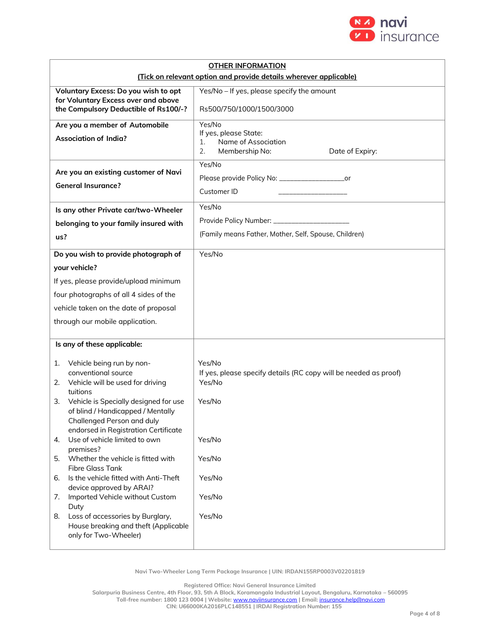

|                                                                                | <b>OTHER INFORMATION</b>                                                   |  |  |  |  |
|--------------------------------------------------------------------------------|----------------------------------------------------------------------------|--|--|--|--|
| (Tick on relevant option and provide details wherever applicable)              |                                                                            |  |  |  |  |
| Voluntary Excess: Do you wish to opt<br>for Voluntary Excess over and above    | Yes/No - If yes, please specify the amount                                 |  |  |  |  |
| the Compulsory Deductible of Rs100/-?                                          | Rs500/750/1000/1500/3000                                                   |  |  |  |  |
| Are you a member of Automobile                                                 | Yes/No                                                                     |  |  |  |  |
| <b>Association of India?</b>                                                   | If yes, please State:<br>Name of Association<br>1.                         |  |  |  |  |
|                                                                                | 2.<br>Membership No:<br>Date of Expiry:                                    |  |  |  |  |
|                                                                                | Yes/No                                                                     |  |  |  |  |
| Are you an existing customer of Navi                                           | Please provide Policy No: _______________________or                        |  |  |  |  |
| <b>General Insurance?</b>                                                      | Customer ID                                                                |  |  |  |  |
| Is any other Private car/two-Wheeler                                           | Yes/No                                                                     |  |  |  |  |
| belonging to your family insured with                                          | Provide Policy Number: _________________                                   |  |  |  |  |
| us?                                                                            | (Family means Father, Mother, Self, Spouse, Children)                      |  |  |  |  |
|                                                                                | Yes/No                                                                     |  |  |  |  |
| Do you wish to provide photograph of                                           |                                                                            |  |  |  |  |
| your vehicle?                                                                  |                                                                            |  |  |  |  |
| If yes, please provide/upload minimum                                          |                                                                            |  |  |  |  |
| four photographs of all 4 sides of the                                         |                                                                            |  |  |  |  |
| vehicle taken on the date of proposal                                          |                                                                            |  |  |  |  |
| through our mobile application.                                                |                                                                            |  |  |  |  |
| Is any of these applicable:                                                    |                                                                            |  |  |  |  |
|                                                                                |                                                                            |  |  |  |  |
| Vehicle being run by non-<br>1.                                                | Yes/No                                                                     |  |  |  |  |
| conventional source<br>Vehicle will be used for driving<br>2.                  | If yes, please specify details (RC copy will be needed as proof)<br>Yes/No |  |  |  |  |
| tuitions                                                                       |                                                                            |  |  |  |  |
| Vehicle is Specially designed for use<br>3.                                    | Yes/No                                                                     |  |  |  |  |
| of blind / Handicapped / Mentally<br>Challenged Person and duly                |                                                                            |  |  |  |  |
| endorsed in Registration Certificate                                           |                                                                            |  |  |  |  |
| Use of vehicle limited to own<br>4.                                            | Yes/No                                                                     |  |  |  |  |
| premises?<br>Whether the vehicle is fitted with                                |                                                                            |  |  |  |  |
| 5.<br><b>Fibre Glass Tank</b>                                                  | Yes/No                                                                     |  |  |  |  |
| Is the vehicle fitted with Anti-Theft<br>6.<br>device approved by ARAI?        | Yes/No                                                                     |  |  |  |  |
| Imported Vehicle without Custom<br>7.                                          | Yes/No                                                                     |  |  |  |  |
| Duty                                                                           |                                                                            |  |  |  |  |
| Loss of accessories by Burglary,<br>8.<br>House breaking and theft (Applicable | Yes/No                                                                     |  |  |  |  |
| only for Two-Wheeler)                                                          |                                                                            |  |  |  |  |
|                                                                                |                                                                            |  |  |  |  |

**Navi Two-Wheeler Long Term Package Insurance | UIN: IRDAN155RP0003V02201819**

**Registered Office: Navi General Insurance Limited**

**Salarpuria Business Centre, 4th Floor, 93, 5th A Block, Koramangala Industrial Layout, Bengaluru, Karnataka – 560095 Toll-free number: 1800 123 0004 | Website:** [www.naviinsurance.com](http://www.naviinsurance.com/) **| Email:** [insurance.help@navi.com](mailto:insurance.help@navi.com)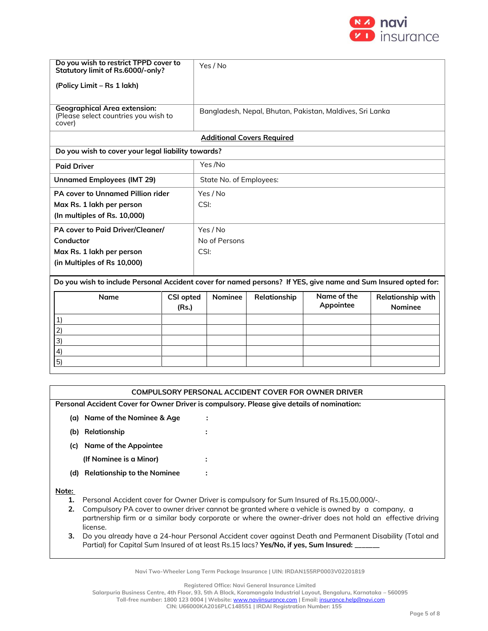

| Do you wish to restrict TPPD cover to<br>Statutory limit of Rs.6000/-only?                                     |                          |      | Yes / No                                                 |                                   |             |                   |  |  |  |
|----------------------------------------------------------------------------------------------------------------|--------------------------|------|----------------------------------------------------------|-----------------------------------|-------------|-------------------|--|--|--|
| (Policy Limit - Rs 1 lakh)                                                                                     |                          |      |                                                          |                                   |             |                   |  |  |  |
|                                                                                                                |                          |      |                                                          |                                   |             |                   |  |  |  |
| <b>Geographical Area extension:</b><br>(Please select countries you wish to<br>cover)                          |                          |      | Bangladesh, Nepal, Bhutan, Pakistan, Maldives, Sri Lanka |                                   |             |                   |  |  |  |
|                                                                                                                |                          |      |                                                          | <b>Additional Covers Required</b> |             |                   |  |  |  |
| Do you wish to cover your legal liability towards?                                                             |                          |      |                                                          |                                   |             |                   |  |  |  |
| <b>Paid Driver</b>                                                                                             |                          |      | Yes /No                                                  |                                   |             |                   |  |  |  |
| <b>Unnamed Employees (IMT 29)</b>                                                                              |                          |      | State No. of Employees:                                  |                                   |             |                   |  |  |  |
| PA cover to Unnamed Pillion rider                                                                              |                          |      | Yes / No                                                 |                                   |             |                   |  |  |  |
| Max Rs. 1 lakh per person                                                                                      |                          | CSI: |                                                          |                                   |             |                   |  |  |  |
| (In multiples of Rs. 10,000)                                                                                   |                          |      |                                                          |                                   |             |                   |  |  |  |
| PA cover to Paid Driver/Cleaner/                                                                               |                          |      | Yes / No                                                 |                                   |             |                   |  |  |  |
| Conductor                                                                                                      |                          |      | No of Persons                                            |                                   |             |                   |  |  |  |
| Max Rs. 1 lakh per person                                                                                      |                          | CSI: |                                                          |                                   |             |                   |  |  |  |
| (in Multiples of Rs 10,000)                                                                                    |                          |      |                                                          |                                   |             |                   |  |  |  |
| Do you wish to include Personal Accident cover for named persons? If YES, give name and Sum Insured opted for: |                          |      |                                                          |                                   |             |                   |  |  |  |
|                                                                                                                |                          |      |                                                          |                                   |             |                   |  |  |  |
|                                                                                                                | Name<br><b>CSI opted</b> |      | <b>Nominee</b>                                           | Relationship                      | Name of the | Relationship with |  |  |  |
| (Rs.)                                                                                                          |                          |      |                                                          |                                   | Appointee   | <b>Nominee</b>    |  |  |  |
| 1)                                                                                                             |                          |      |                                                          |                                   |             |                   |  |  |  |
| 2)                                                                                                             |                          |      |                                                          |                                   |             |                   |  |  |  |
| 3)                                                                                                             |                          |      |                                                          |                                   |             |                   |  |  |  |
| 4)                                                                                                             |                          |      |                                                          |                                   |             |                   |  |  |  |
| 5)                                                                                                             |                          |      |                                                          |                                   |             |                   |  |  |  |

|       | COMPULSORY PERSONAL ACCIDENT COVER FOR OWNER DRIVER                                        |   |  |  |  |  |  |
|-------|--------------------------------------------------------------------------------------------|---|--|--|--|--|--|
|       | Personal Accident Cover for Owner Driver is compulsory. Please give details of nomination: |   |  |  |  |  |  |
| (a)   | Name of the Nominee & Age                                                                  | ÷ |  |  |  |  |  |
| (b)   | Relationship                                                                               |   |  |  |  |  |  |
| (c)   | Name of the Appointee                                                                      |   |  |  |  |  |  |
|       | (If Nominee is a Minor)                                                                    |   |  |  |  |  |  |
| (d)   | <b>Relationship to the Nominee</b>                                                         | ÷ |  |  |  |  |  |
| Note: |                                                                                            |   |  |  |  |  |  |

- **1.** Personal Accident cover for Owner Driver is compulsory for Sum Insured of Rs.15,00,000/-.
- **2.** Compulsory PA cover to owner driver cannot be granted where a vehicle is owned by a company, a partnership firm or a similar body corporate or where the owner-driver does not hold an effective driving license.
- **3.** Do you already have a 24-hour Personal Accident cover against Death and Permanent Disability (Total and Partial) for Capital Sum Insured of at least Rs.15 lacs? Yes/No, if yes, Sum Insured:

**Navi Two-Wheeler Long Term Package Insurance | UIN: IRDAN155RP0003V02201819**

**Registered Office: Navi General Insurance Limited**

**Salarpuria Business Centre, 4th Floor, 93, 5th A Block, Koramangala Industrial Layout, Bengaluru, Karnataka – 560095**

**Toll-free number: 1800 123 0004 | Website:** [www.naviinsurance.com](http://www.naviinsurance.com/) **| Email:** [insurance.help@navi.com](mailto:insurance.help@navi.com)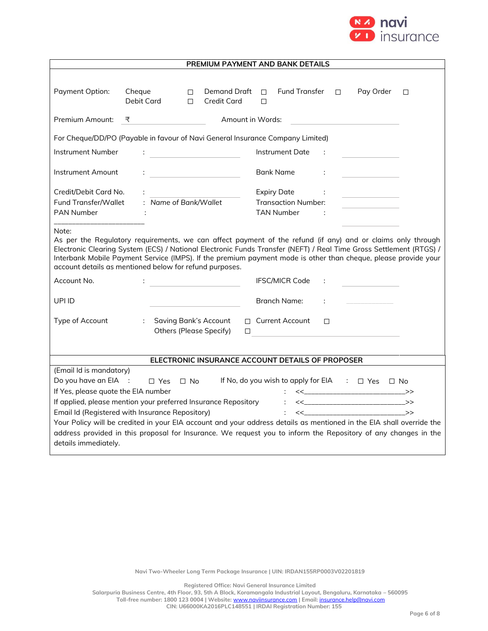

| <b>PREMIUM PAYMENT AND BANK DETAILS</b>                                                                                                                                                                                                                                                                                                                                                                                 |                                                                                                                      |                                                                                       |                                                  |        |                            |   |
|-------------------------------------------------------------------------------------------------------------------------------------------------------------------------------------------------------------------------------------------------------------------------------------------------------------------------------------------------------------------------------------------------------------------------|----------------------------------------------------------------------------------------------------------------------|---------------------------------------------------------------------------------------|--------------------------------------------------|--------|----------------------------|---|
|                                                                                                                                                                                                                                                                                                                                                                                                                         |                                                                                                                      |                                                                                       |                                                  |        |                            |   |
| Payment Option:                                                                                                                                                                                                                                                                                                                                                                                                         | Cheque<br>$\Box$<br>Debit Card<br>$\Box$                                                                             | Demand Draft<br><b>Credit Card</b>                                                    | <b>Fund Transfer</b><br>П.<br>$\Box$             | $\Box$ | Pay Order                  | П |
| Premium Amount:                                                                                                                                                                                                                                                                                                                                                                                                         | ₹                                                                                                                    |                                                                                       | Amount in Words:                                 |        |                            |   |
|                                                                                                                                                                                                                                                                                                                                                                                                                         | For Cheque/DD/PO (Payable in favour of Navi General Insurance Company Limited)                                       |                                                                                       |                                                  |        |                            |   |
| Instrument Number                                                                                                                                                                                                                                                                                                                                                                                                       |                                                                                                                      | $\mathbf{E}_{\text{max}}$ and $\mathbf{E}_{\text{max}}$ and $\mathbf{E}_{\text{max}}$ | Instrument Date                                  |        |                            |   |
| Instrument Amount                                                                                                                                                                                                                                                                                                                                                                                                       |                                                                                                                      | <u> 1989 - Johann Barbara, martxa a</u>                                               | <b>Bank Name</b>                                 | ÷      |                            |   |
| Credit/Debit Card No.<br>Fund Transfer/Wallet                                                                                                                                                                                                                                                                                                                                                                           | : Name of Bank/Wallet                                                                                                |                                                                                       | <b>Expiry Date</b><br><b>Transaction Number:</b> |        |                            |   |
| <b>PAN Number</b>                                                                                                                                                                                                                                                                                                                                                                                                       |                                                                                                                      |                                                                                       | <b>TAN Number</b>                                |        |                            |   |
| Note:<br>As per the Regulatory requirements, we can affect payment of the refund (if any) and or claims only through<br>Electronic Clearing System (ECS) / National Electronic Funds Transfer (NEFT) / Real Time Gross Settlement (RTGS) /<br>Interbank Mobile Payment Service (IMPS). If the premium payment mode is other than cheque, please provide your<br>account details as mentioned below for refund purposes. |                                                                                                                      |                                                                                       |                                                  |        |                            |   |
| Account No.                                                                                                                                                                                                                                                                                                                                                                                                             |                                                                                                                      |                                                                                       | <b>IFSC/MICR Code</b>                            |        |                            |   |
| UPI ID                                                                                                                                                                                                                                                                                                                                                                                                                  |                                                                                                                      |                                                                                       | <b>Branch Name:</b>                              |        |                            |   |
| Type of Account                                                                                                                                                                                                                                                                                                                                                                                                         | ÷.                                                                                                                   | <b>Saving Bank's Account</b><br><b>Others (Please Specify)</b><br>$\Box$              | $\Box$ Current Account                           | $\Box$ |                            |   |
|                                                                                                                                                                                                                                                                                                                                                                                                                         |                                                                                                                      |                                                                                       |                                                  |        |                            |   |
| ELECTRONIC INSURANCE ACCOUNT DETAILS OF PROPOSER                                                                                                                                                                                                                                                                                                                                                                        |                                                                                                                      |                                                                                       |                                                  |        |                            |   |
| (Email Id is mandatory)<br>Do you have an EIA :<br>If No, do you wish to apply for EIA : $\Box$ Yes $\Box$ No<br>$\Box$ Yes $\Box$ No                                                                                                                                                                                                                                                                                   |                                                                                                                      |                                                                                       |                                                  |        |                            |   |
| If Yes, please quote the EIA number<br>$\left\langle \left\langle \begin{array}{ccc} 0 & 0 & 0 \\ 0 & 0 & 0 \\ 0 & 0 & 0 \\ 0 & 0 & 0 \\ 0 & 0 & 0 \\ 0 & 0 & 0 \\ 0 & 0 & 0 \\ 0 & 0 & 0 \\ 0 & 0 & 0 \\ 0 & 0 & 0 \\ 0 & 0 & 0 \\ 0 & 0 & 0 \\ 0 & 0 & 0 \\ 0 & 0 & 0 \\ 0 & 0 & 0 & 0 \\ 0 & 0 & 0 & 0 \\ 0 & 0 & 0 & 0 \\ 0 & 0 & 0 & 0 & 0 \\ 0 & 0 & 0 & 0 & 0 \\ 0 & 0 & 0 & 0 & $                               |                                                                                                                      |                                                                                       |                                                  |        |                            |   |
|                                                                                                                                                                                                                                                                                                                                                                                                                         | If applied, please mention your preferred Insurance Repository : << __________________________>>                     |                                                                                       |                                                  |        |                            |   |
|                                                                                                                                                                                                                                                                                                                                                                                                                         | Email Id (Registered with Insurance Repository)                                                                      |                                                                                       | $\mathbb{R}^{\mathbb{Z}}$                        |        | <<______________________>> |   |
|                                                                                                                                                                                                                                                                                                                                                                                                                         | Your Policy will be credited in your EIA account and your address details as mentioned in the EIA shall override the |                                                                                       |                                                  |        |                            |   |
|                                                                                                                                                                                                                                                                                                                                                                                                                         | address provided in this proposal for Insurance. We request you to inform the Repository of any changes in the       |                                                                                       |                                                  |        |                            |   |
| details immediately.                                                                                                                                                                                                                                                                                                                                                                                                    |                                                                                                                      |                                                                                       |                                                  |        |                            |   |

**Registered Office: Navi General Insurance Limited**

**Salarpuria Business Centre, 4th Floor, 93, 5th A Block, Koramangala Industrial Layout, Bengaluru, Karnataka – 560095 Toll-free number: 1800 123 0004 | Website:** [www.naviinsurance.com](http://www.naviinsurance.com/) **| Email:** [insurance.help@navi.com](mailto:insurance.help@navi.com)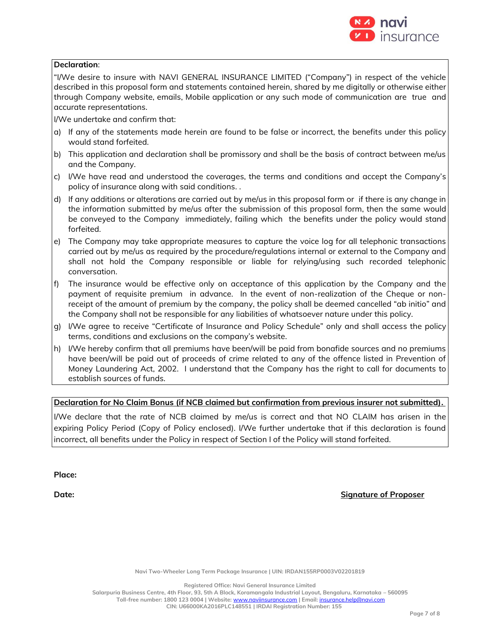

#### **Declaration**:

"I/We desire to insure with NAVI GENERAL INSURANCE LIMITED ("Company") in respect of the vehicle described in this proposal form and statements contained herein, shared by me digitally or otherwise either through Company website, emails, Mobile application or any such mode of communication are true and accurate representations.

I/We undertake and confirm that:

- a) If any of the statements made herein are found to be false or incorrect, the benefits under this policy would stand forfeited.
- b) This application and declaration shall be promissory and shall be the basis of contract between me/us and the Company.
- c) I/We have read and understood the coverages, the terms and conditions and accept the Company's policy of insurance along with said conditions. .
- d) If any additions or alterations are carried out by me/us in this proposal form or if there is any change in the information submitted by me/us after the submission of this proposal form, then the same would be conveyed to the Company immediately, failing which the benefits under the policy would stand forfeited.
- e) The Company may take appropriate measures to capture the voice log for all telephonic transactions carried out by me/us as required by the procedure/regulations internal or external to the Company and shall not hold the Company responsible or liable for relying/using such recorded telephonic conversation.
- f) The insurance would be effective only on acceptance of this application by the Company and the payment of requisite premium in advance. In the event of non-realization of the Cheque or nonreceipt of the amount of premium by the company, the policy shall be deemed cancelled "ab initio" and the Company shall not be responsible for any liabilities of whatsoever nature under this policy.
- g) I/We agree to receive "Certificate of Insurance and Policy Schedule" only and shall access the policy terms, conditions and exclusions on the company's website.
- h) I/We hereby confirm that all premiums have been/will be paid from bonafide sources and no premiums have been/will be paid out of proceeds of crime related to any of the offence listed in Prevention of Money Laundering Act, 2002. I understand that the Company has the right to call for documents to establish sources of funds.

## **Declaration for No Claim Bonus (if NCB claimed but confirmation from previous insurer not submitted).**

I/We declare that the rate of NCB claimed by me/us is correct and that NO CLAIM has arisen in the expiring Policy Period (Copy of Policy enclosed). I/We further undertake that if this declaration is found incorrect, all benefits under the Policy in respect of Section I of the Policy will stand forfeited.

**Place:**

**Date: Signature of Proposer**

**Navi Two-Wheeler Long Term Package Insurance | UIN: IRDAN155RP0003V02201819**

**Registered Office: Navi General Insurance Limited**

**Salarpuria Business Centre, 4th Floor, 93, 5th A Block, Koramangala Industrial Layout, Bengaluru, Karnataka – 560095 Toll-free number: 1800 123 0004 | Website:** [www.naviinsurance.com](http://www.naviinsurance.com/) **| Email:** [insurance.help@navi.com](mailto:insurance.help@navi.com)